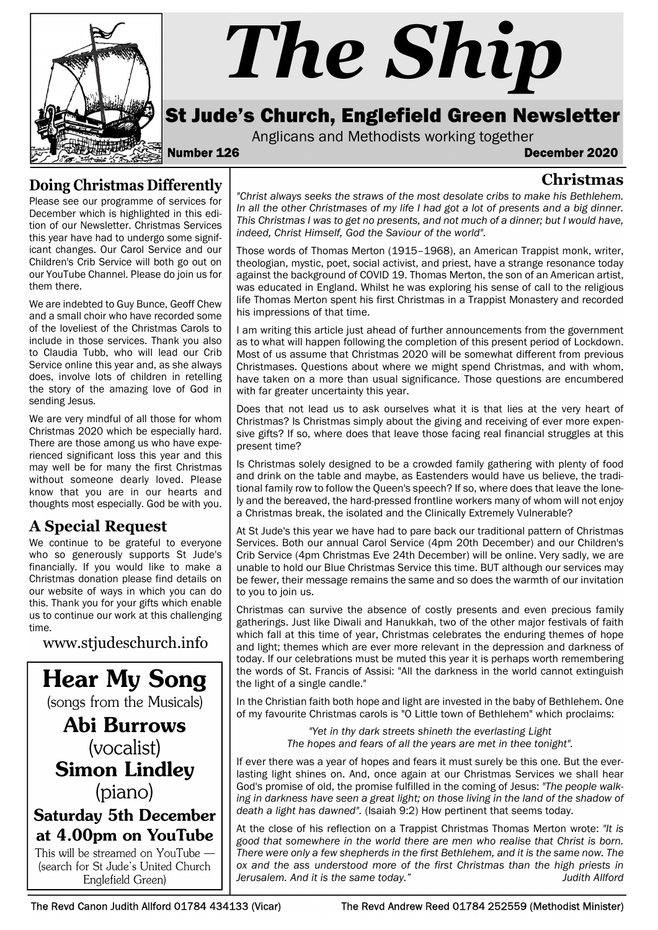

# The Ship

# St Jude's Church, Englefield Green Newsletter

Anglicans and Methodists working together

### Number 126 December 2020

Christmas

# Doing Christmas Differently

Please see our programme of services for December which is highlighted in this edition of our Newsletter. Christmas Services this year have had to undergo some significant changes. Our Carol Service and our Children's Crib Service will both go out on our YouTube Channel. Please do join us for them there.

We are indebted to Guy Bunce, Geoff Chew and a small choir who have recorded some of the loveliest of the Christmas Carols to include in those services. Thank you also to Claudia Tubb, who will lead our Crib Service online this year and, as she always does, involve lots of children in retelling the story of the amazing love of God in sending Jesus.

Christmas 2020 which be especially hard. There are those among us who have experienced significant loss this year and this may well be for many the first Christmas without someone dearly loved. Please know that you are in our hearts and thoughts most especially. God be with you.

# A Special Request

We continue to be grateful to everyone who so generously supports St Jude's financially. If you would like to make a Christmas donation please find details on our website of ways in which you can do this. Thank you for your gifts which enable us to continue our work at this challenging time.

www.stjudeschurch.info

**Hear My Song** (songs from the Musicals)

**Abi Burrows** (vocalist) **Simon Lindley** (piano)

# **Saturday 5th December** at 4.00pm on YouTube

This will be streamed on YouTube -(search for St Jude's United Church Englefield Green)

"Christ always seeks the straws of the most desolate cribs to make his Bethlehem. In all the other Christmases of my life I had got a lot of presents and a big dinner. This Christmas I was to get no presents, and not much of a dinner; but I would have, indeed, Christ Himself, God the Saviour of the world".

Those words of Thomas Merton (1915–1968), an American Trappist monk, writer, theologian, mystic, poet, social activist, and priest, have a strange resonance today against the background of COVID 19. Thomas Merton, the son of an American artist, was educated in England. Whilst he was exploring his sense of call to the religious life Thomas Merton spent his first Christmas in a Trappist Monastery and recorded his impressions of that time.

I am writing this article just ahead of further announcements from the government as to what will happen following the completion of this present period of Lockdown. Most of us assume that Christmas 2020 will be somewhat different from previous Christmases. Questions about where we might spend Christmas, and with whom, have taken on a more than usual significance. Those questions are encumbered with far greater uncertainty this year.

Does that not lead us to ask ourselves what it is that lies at the very heart of We are very mindful of all those for whom  $\mid$  Christmas? Is Christmas simply about the giving and receiving of ever more expensive gifts? If so, where does that leave those facing real financial struggles at this present time?

> Is Christmas solely designed to be a crowded family gathering with plenty of food and drink on the table and maybe, as Eastenders would have us believe, the traditional family row to follow the Queen's speech? If so, where does that leave the lonely and the bereaved, the hard-pressed frontline workers many of whom will not enjoy a Christmas break, the isolated and the Clinically Extremely Vulnerable?

> At St Jude's this year we have had to pare back our traditional pattern of Christmas Services. Both our annual Carol Service (4pm 20th December) and our Children's Crib Service (4pm Christmas Eve 24th December) will be online. Very sadly, we are unable to hold our Blue Christmas Service this time. BUT although our services may be fewer, their message remains the same and so does the warmth of our invitation to you to join us.

> Christmas can survive the absence of costly presents and even precious family gatherings. Just like Diwali and Hanukkah, two of the other major festivals of faith which fall at this time of year, Christmas celebrates the enduring themes of hope and light; themes which are ever more relevant in the depression and darkness of today. If our celebrations must be muted this year it is perhaps worth remembering the words of St. Francis of Assisi: "All the darkness in the world cannot extinguish the light of a single candle."

> In the Christian faith both hope and light are invested in the baby of Bethlehem. One of my favourite Christmas carols is "O Little town of Bethlehem" which proclaims:

> > "Yet in thy dark streets shineth the everlasting Light The hopes and fears of all the years are met in thee tonight".

If ever there was a year of hopes and fears it must surely be this one. But the everlasting light shines on. And, once again at our Christmas Services we shall hear God's promise of old, the promise fulfilled in the coming of Jesus: "The people walking in darkness have seen a great light; on those living in the land of the shadow of death a light has dawned". (Isaiah 9:2) How pertinent that seems today.

At the close of his reflection on a Trappist Christmas Thomas Merton wrote: "It is good that somewhere in the world there are men who realise that Christ is born. There were only a few shepherds in the first Bethlehem, and it is the same now. The ox and the ass understood more of the first Christmas than the high priests in Jerusalem. And it is the same today." Judith Allford